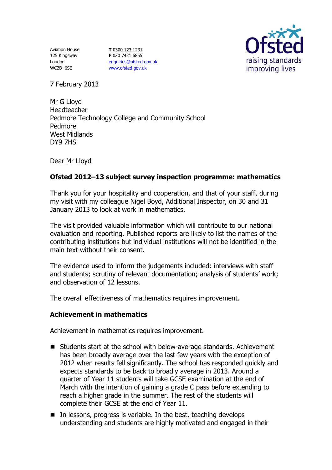Aviation House 125 Kingsway London WC2B 6SE

**T** 0300 123 1231 **F** 020 7421 6855 [enquiries@ofsted.gov.uk](mailto:enquiries@ofsted.gov.uk) [www.ofsted.gov.uk](http://www.ofsted.gov.uk/)



7 February 2013

Mr G Lloyd Headteacher Pedmore Technology College and Community School Pedmore West Midlands DY9 7HS

Dear Mr Lloyd

# **Ofsted 2012–13 subject survey inspection programme: mathematics**

Thank you for your hospitality and cooperation, and that of your staff, during my visit with my colleague Nigel Boyd, Additional Inspector, on 30 and 31 January 2013 to look at work in mathematics.

The visit provided valuable information which will contribute to our national evaluation and reporting. Published reports are likely to list the names of the contributing institutions but individual institutions will not be identified in the main text without their consent.

The evidence used to inform the judgements included: interviews with staff and students; scrutiny of relevant documentation; analysis of students' work; and observation of 12 lessons.

The overall effectiveness of mathematics requires improvement.

## **Achievement in mathematics**

Achievement in mathematics requires improvement.

- Students start at the school with below-average standards. Achievement has been broadly average over the last few years with the exception of 2012 when results fell significantly. The school has responded quickly and expects standards to be back to broadly average in 2013. Around a quarter of Year 11 students will take GCSE examination at the end of March with the intention of gaining a grade C pass before extending to reach a higher grade in the summer. The rest of the students will complete their GCSE at the end of Year 11.
- $\blacksquare$  In lessons, progress is variable. In the best, teaching develops understanding and students are highly motivated and engaged in their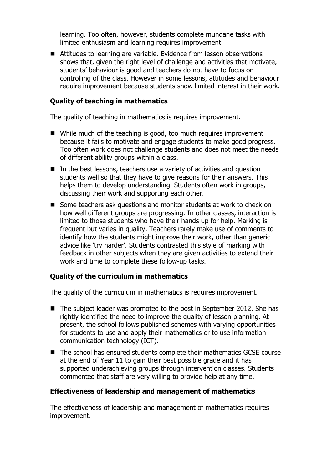learning. Too often, however, students complete mundane tasks with limited enthusiasm and learning requires improvement.

■ Attitudes to learning are variable. Evidence from lesson observations shows that, given the right level of challenge and activities that motivate, students' behaviour is good and teachers do not have to focus on controlling of the class. However in some lessons, attitudes and behaviour require improvement because students show limited interest in their work.

### **Quality of teaching in mathematics**

The quality of teaching in mathematics is requires improvement.

- While much of the teaching is good, too much requires improvement because it fails to motivate and engage students to make good progress. Too often work does not challenge students and does not meet the needs of different ability groups within a class.
- In the best lessons, teachers use a variety of activities and question students well so that they have to give reasons for their answers. This helps them to develop understanding. Students often work in groups, discussing their work and supporting each other.
- Some teachers ask questions and monitor students at work to check on how well different groups are progressing. In other classes, interaction is limited to those students who have their hands up for help. Marking is frequent but varies in quality. Teachers rarely make use of comments to identify how the students might improve their work, other than generic advice like 'try harder'. Students contrasted this style of marking with feedback in other subjects when they are given activities to extend their work and time to complete these follow-up tasks.

## **Quality of the curriculum in mathematics**

The quality of the curriculum in mathematics is requires improvement.

- The subject leader was promoted to the post in September 2012. She has rightly identified the need to improve the quality of lesson planning. At present, the school follows published schemes with varying opportunities for students to use and apply their mathematics or to use information communication technology (ICT).
- The school has ensured students complete their mathematics GCSE course at the end of Year 11 to gain their best possible grade and it has supported underachieving groups through intervention classes. Students commented that staff are very willing to provide help at any time.

#### **Effectiveness of leadership and management of mathematics**

The effectiveness of leadership and management of mathematics requires improvement.